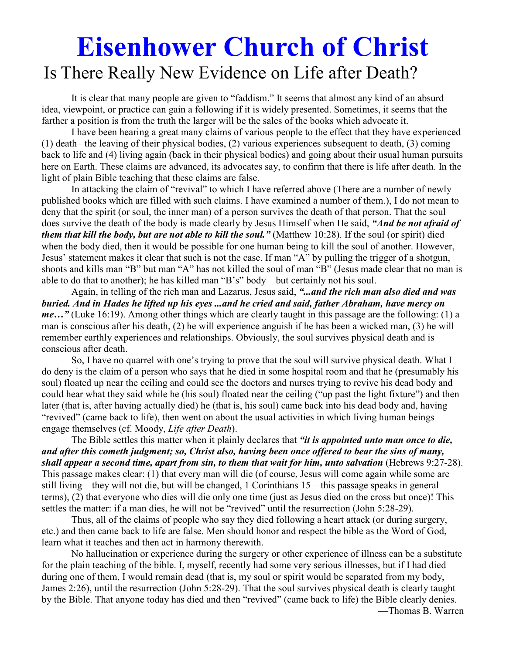# **Eisenhower Church of Christ**  Is There Really New Evidence on Life after Death?

It is clear that many people are given to "faddism." It seems that almost any kind of an absurd idea, viewpoint, or practice can gain a following if it is widely presented. Sometimes, it seems that the farther a position is from the truth the larger will be the sales of the books which advocate it.

 I have been hearing a great many claims of various people to the effect that they have experienced (1) death– the leaving of their physical bodies, (2) various experiences subsequent to death, (3) coming back to life and (4) living again (back in their physical bodies) and going about their usual human pursuits here on Earth. These claims are advanced, its advocates say, to confirm that there is life after death. In the light of plain Bible teaching that these claims are false.

 In attacking the claim of "revival" to which I have referred above (There are a number of newly published books which are filled with such claims. I have examined a number of them.), I do not mean to deny that the spirit (or soul, the inner man) of a person survives the death of that person. That the soul does survive the death of the body is made clearly by Jesus Himself when He said, *"And be not afraid of them that kill the body, but are not able to kill the soul."* (Matthew 10:28). If the soul (or spirit) died when the body died, then it would be possible for one human being to kill the soul of another. However, Jesus' statement makes it clear that such is not the case. If man "A" by pulling the trigger of a shotgun, shoots and kills man "B" but man "A" has not killed the soul of man "B" (Jesus made clear that no man is able to do that to another); he has killed man "B's" body—but certainly not his soul.

 Again, in telling of the rich man and Lazarus, Jesus said, *"...and the rich man also died and was buried. And in Hades he lifted up his eyes ...and he cried and said, father Abraham, have mercy on me...*" (Luke 16:19). Among other things which are clearly taught in this passage are the following: (1) a man is conscious after his death, (2) he will experience anguish if he has been a wicked man, (3) he will remember earthly experiences and relationships. Obviously, the soul survives physical death and is conscious after death.

 So, I have no quarrel with one's trying to prove that the soul will survive physical death. What I do deny is the claim of a person who says that he died in some hospital room and that he (presumably his soul) floated up near the ceiling and could see the doctors and nurses trying to revive his dead body and could hear what they said while he (his soul) floated near the ceiling ("up past the light fixture") and then later (that is, after having actually died) he (that is, his soul) came back into his dead body and, having "revived" (came back to life), then went on about the usual activities in which living human beings engage themselves (cf. Moody, *Life after Death*).

 The Bible settles this matter when it plainly declares that *"it is appointed unto man once to die, and after this cometh judgment; so, Christ also, having been once offered to bear the sins of many, shall appear a second time, apart from sin, to them that wait for him, unto salvation* (Hebrews 9:27-28). This passage makes clear: (1) that every man will die (of course, Jesus will come again while some are still living—they will not die, but will be changed, 1 Corinthians 15—this passage speaks in general terms), (2) that everyone who dies will die only one time (just as Jesus died on the cross but once)! This settles the matter: if a man dies, he will not be "revived" until the resurrection (John 5:28-29).

 Thus, all of the claims of people who say they died following a heart attack (or during surgery, etc.) and then came back to life are false. Men should honor and respect the bible as the Word of God, learn what it teaches and then act in harmony therewith.

 No hallucination or experience during the surgery or other experience of illness can be a substitute for the plain teaching of the bible. I, myself, recently had some very serious illnesses, but if I had died during one of them, I would remain dead (that is, my soul or spirit would be separated from my body, James 2:26), until the resurrection (John 5:28-29). That the soul survives physical death is clearly taught by the Bible. That anyone today has died and then "revived" (came back to life) the Bible clearly denies.

—Thomas B. Warren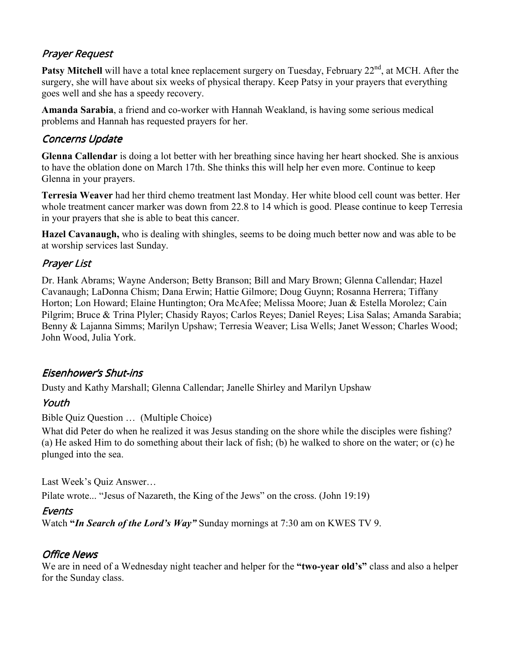# Prayer Request

**Patsy Mitchell** will have a total knee replacement surgery on Tuesday, February 22<sup>nd</sup>, at MCH. After the surgery, she will have about six weeks of physical therapy. Keep Patsy in your prayers that everything goes well and she has a speedy recovery.

**Amanda Sarabia**, a friend and co-worker with Hannah Weakland, is having some serious medical problems and Hannah has requested prayers for her.

## **Concerns Update**

**Glenna Callendar** is doing a lot better with her breathing since having her heart shocked. She is anxious to have the oblation done on March 17th. She thinks this will help her even more. Continue to keep Glenna in your prayers.

**Terresia Weaver** had her third chemo treatment last Monday. Her white blood cell count was better. Her whole treatment cancer marker was down from 22.8 to 14 which is good. Please continue to keep Terresia in your prayers that she is able to beat this cancer.

**Hazel Cavanaugh,** who is dealing with shingles, seems to be doing much better now and was able to be at worship services last Sunday.

# Prayer List

Dr. Hank Abrams; Wayne Anderson; Betty Branson; Bill and Mary Brown; Glenna Callendar; Hazel Cavanaugh; LaDonna Chism; Dana Erwin; Hattie Gilmore; Doug Guynn; Rosanna Herrera; Tiffany Horton; Lon Howard; Elaine Huntington; Ora McAfee; Melissa Moore; Juan & Estella Morolez; Cain Pilgrim; Bruce & Trina Plyler; Chasidy Rayos; Carlos Reyes; Daniel Reyes; Lisa Salas; Amanda Sarabia; Benny & Lajanna Simms; Marilyn Upshaw; Terresia Weaver; Lisa Wells; Janet Wesson; Charles Wood; John Wood, Julia York.

# Eisenhower's Shut-ins

Dusty and Kathy Marshall; Glenna Callendar; Janelle Shirley and Marilyn Upshaw

# Youth

#### Bible Quiz Question … (Multiple Choice)

What did Peter do when he realized it was Jesus standing on the shore while the disciples were fishing? (a) He asked Him to do something about their lack of fish; (b) he walked to shore on the water; or (c) he plunged into the sea.

Last Week's Quiz Answer…

Pilate wrote... "Jesus of Nazareth, the King of the Jews" on the cross. (John 19:19)

### **Events**

Watch **"***In Search of the Lord's Way"* Sunday mornings at 7:30 am on KWES TV 9.

### Office News

We are in need of a Wednesday night teacher and helper for the **"two-year old's"** class and also a helper for the Sunday class.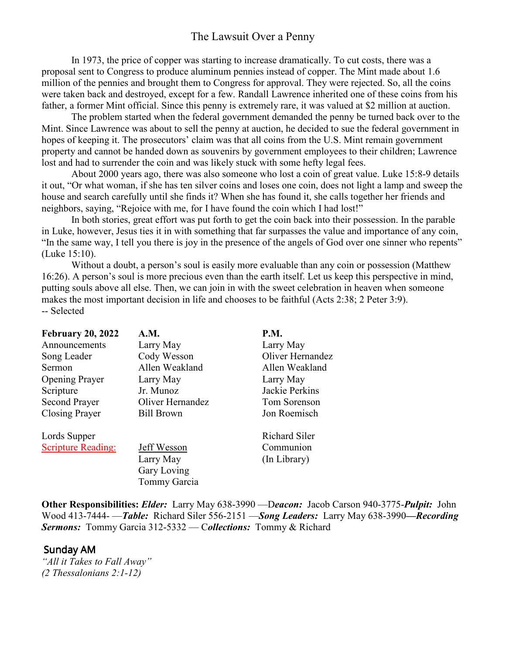## The Lawsuit Over a Penny

In 1973, the price of copper was starting to increase dramatically. To cut costs, there was a proposal sent to Congress to produce aluminum pennies instead of copper. The Mint made about 1.6 million of the pennies and brought them to Congress for approval. They were rejected. So, all the coins were taken back and destroyed, except for a few. Randall Lawrence inherited one of these coins from his father, a former Mint official. Since this penny is extremely rare, it was valued at \$2 million at auction.

 The problem started when the federal government demanded the penny be turned back over to the Mint. Since Lawrence was about to sell the penny at auction, he decided to sue the federal government in hopes of keeping it. The prosecutors' claim was that all coins from the U.S. Mint remain government property and cannot be handed down as souvenirs by government employees to their children; Lawrence lost and had to surrender the coin and was likely stuck with some hefty legal fees.

 About 2000 years ago, there was also someone who lost a coin of great value. Luke 15:8-9 details it out, "Or what woman, if she has ten silver coins and loses one coin, does not light a lamp and sweep the house and search carefully until she finds it? When she has found it, she calls together her friends and neighbors, saying, "Rejoice with me, for I have found the coin which I had lost!"

 In both stories, great effort was put forth to get the coin back into their possession. In the parable in Luke, however, Jesus ties it in with something that far surpasses the value and importance of any coin, "In the same way, I tell you there is joy in the presence of the angels of God over one sinner who repents" (Luke 15:10).

 Without a doubt, a person's soul is easily more evaluable than any coin or possession (Matthew 16:26). A person's soul is more precious even than the earth itself. Let us keep this perspective in mind, putting souls above all else. Then, we can join in with the sweet celebration in heaven when someone makes the most important decision in life and chooses to be faithful (Acts 2:38; 2 Peter 3:9). -- Selected

| <b>February 20, 2022</b>  | A.M.              | <b>P.M.</b>          |
|---------------------------|-------------------|----------------------|
| Announcements             | Larry May         | Larry May            |
| Song Leader               | Cody Wesson       | Oliver Hernandez     |
| Sermon                    | Allen Weakland    | Allen Weakland       |
| <b>Opening Prayer</b>     | Larry May         | Larry May            |
| Scripture                 | Jr. Munoz         | Jackie Perkins       |
| <b>Second Prayer</b>      | Oliver Hernandez  | Tom Sorenson         |
| <b>Closing Prayer</b>     | <b>Bill Brown</b> | Jon Roemisch         |
| Lords Supper              |                   | <b>Richard Siler</b> |
| <b>Scripture Reading:</b> | Jeff Wesson       | Communion            |
|                           | Larry May         | (In Library)         |
|                           | Gary Loving       |                      |
|                           | Tommy Garcia      |                      |

**Other Responsibilities:** *Elder:* Larry May 638-3990 —D*eacon:*Jacob Carson 940-3775-*Pulpit:* John Wood 413-7444- —*Table:* Richard Siler 556-2151 —*Song Leaders:* Larry May 638-3990*—Recording Sermons:* Tommy Garcia 312-5332 — C*ollections:* Tommy & Richard

#### Sunday AM

*"All it Takes to Fall Away" (2 Thessalonians 2:1-12)*